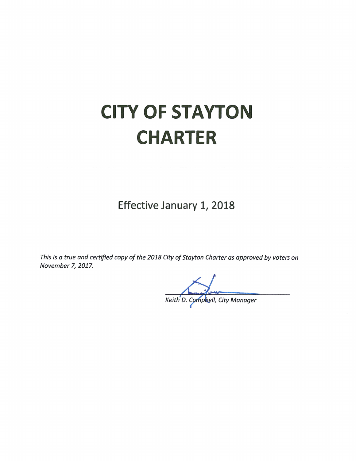# **CITY OF STAYTON CHARTER**

Effective January 1, 2018

This is a true and certified copy of the 2018 City of Stayton Charter as approved by voters on November 7, 2017.

Keith D. Campbell, City Manager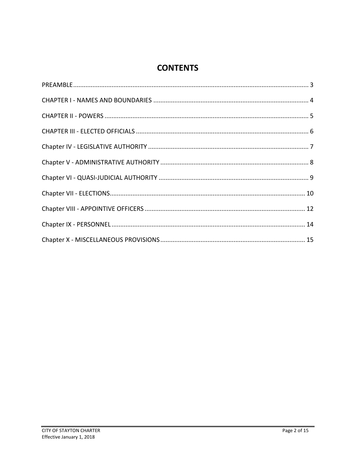## **CONTENTS**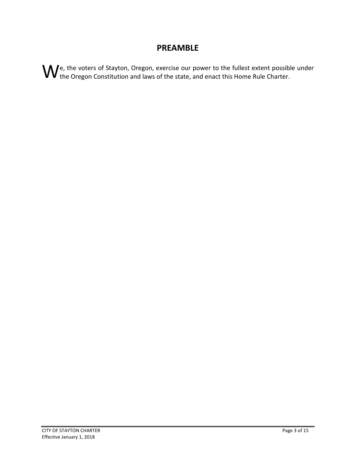#### **PREAMBLE**

<span id="page-2-0"></span>We, the voters of Stayton, Oregon, exercise our power to the fullest extent possible under  $W$  the Oregon Constitution and laws of the state, and enact this Home Rule Charter.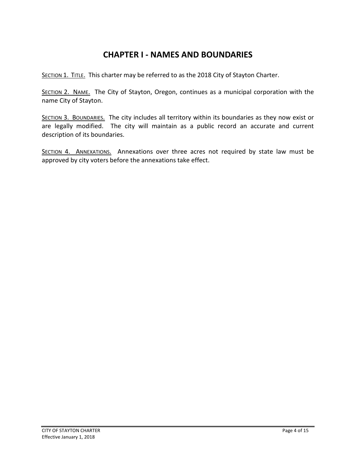## **CHAPTER I - NAMES AND BOUNDARIES**

<span id="page-3-0"></span>SECTION 1. TITLE. This charter may be referred to as the 2018 City of Stayton Charter.

SECTION 2. NAME. The City of Stayton, Oregon, continues as a municipal corporation with the name City of Stayton.

SECTION 3. BOUNDARIES. The city includes all territory within its boundaries as they now exist or are legally modified. The city will maintain as a public record an accurate and current description of its boundaries.

SECTION 4. ANNEXATIONS. Annexations over three acres not required by state law must be approved by city voters before the annexations take effect.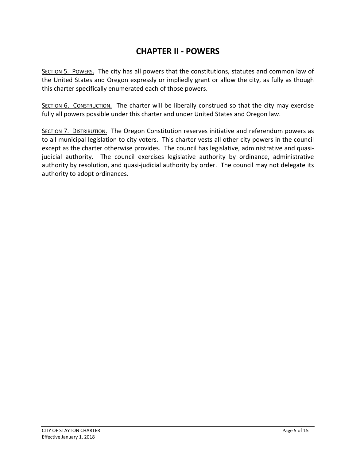### **CHAPTER II - POWERS**

<span id="page-4-0"></span>SECTION 5. POWERS. The city has all powers that the constitutions, statutes and common law of the United States and Oregon expressly or impliedly grant or allow the city, as fully as though this charter specifically enumerated each of those powers.

SECTION 6. CONSTRUCTION. The charter will be liberally construed so that the city may exercise fully all powers possible under this charter and under United States and Oregon law.

SECTION 7. DISTRIBUTION. The Oregon Constitution reserves initiative and referendum powers as to all municipal legislation to city voters. This charter vests all other city powers in the council except as the charter otherwise provides. The council has legislative, administrative and quasijudicial authority. The council exercises legislative authority by ordinance, administrative authority by resolution, and quasi-judicial authority by order. The council may not delegate its authority to adopt ordinances.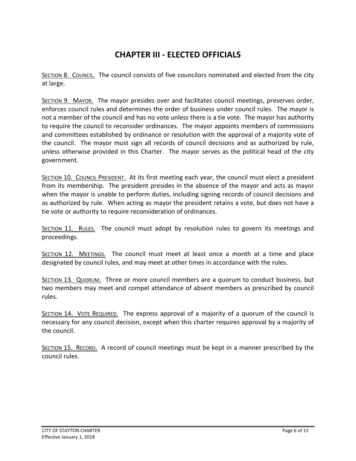# **CHAPTER III - ELECTED OFFICIALS**

<span id="page-5-0"></span>SECTION 8. COUNCIL. The council consists of five councilors nominated and elected from the city at large.

SECTION 9. MAYOR. The mayor presides over and facilitates council meetings, preserves order, enforces council rules and determines the order of business under council rules. The mayor is not a member of the council and has no vote unless there is a tie vote. The mayor has authority to require the council to reconsider ordinances. The mayor appoints members of commissions and committees established by ordinance or resolution with the approval of a majority vote of the council. The mayor must sign all records of council decisions and as authorized by rule, unless otherwise provided in this Charter. The mayor serves as the political head of the city government.

SECTION 10. COUNCIL PRESIDENT. At its first meeting each year, the council must elect a president from its membership. The president presides in the absence of the mayor and acts as mayor when the mayor is unable to perform duties, including signing records of council decisions and as authorized by rule. When acting as mayor the president retains a vote, but does not have a tie vote or authority to require reconsideration of ordinances.

SECTION 11. RULES. The council must adopt by resolution rules to govern its meetings and proceedings.

SECTION 12. MEETINGS. The council must meet at least once a month at a time and place designated by council rules, and may meet at other times in accordance with the rules.

SECTION 13. QUORUM. Three or more council members are a quorum to conduct business, but two members may meet and compel attendance of absent members as prescribed by council rules.

SECTION 14. VOTE REQUIRED. The express approval of a majority of a quorum of the council is necessary for any council decision, except when this charter requires approval by a majority of the council.

SECTION 15. RECORD. A record of council meetings must be kept in a manner prescribed by the council rules.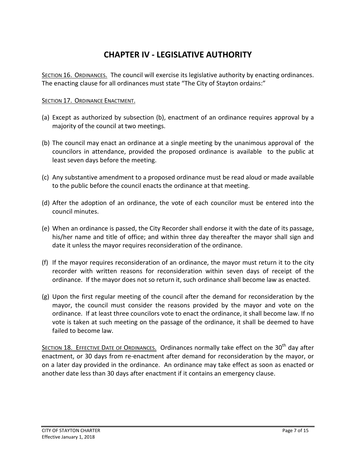# **CHAPTER IV - LEGISLATIVE AUTHORITY**

<span id="page-6-0"></span>SECTION 16. ORDINANCES. The council will exercise its legislative authority by enacting ordinances. The enacting clause for all ordinances must state "The City of Stayton ordains:"

#### SECTION 17. ORDINANCE ENACTMENT.

- (a) Except as authorized by subsection (b), enactment of an ordinance requires approval by a majority of the council at two meetings.
- (b) The council may enact an ordinance at a single meeting by the unanimous approval of the councilors in attendance, provided the proposed ordinance is available to the public at least seven days before the meeting.
- (c) Any substantive amendment to a proposed ordinance must be read aloud or made available to the public before the council enacts the ordinance at that meeting.
- (d) After the adoption of an ordinance, the vote of each councilor must be entered into the council minutes.
- (e) When an ordinance is passed, the City Recorder shall endorse it with the date of its passage, his/her name and title of office; and within three day thereafter the mayor shall sign and date it unless the mayor requires reconsideration of the ordinance.
- (f) If the mayor requires reconsideration of an ordinance, the mayor must return it to the city recorder with written reasons for reconsideration within seven days of receipt of the ordinance. If the mayor does not so return it, such ordinance shall become law as enacted.
- (g) Upon the first regular meeting of the council after the demand for reconsideration by the mayor, the council must consider the reasons provided by the mayor and vote on the ordinance. If at least three councilors vote to enact the ordinance, it shall become law. If no vote is taken at such meeting on the passage of the ordinance, it shall be deemed to have failed to become law.

SECTION 18. EFFECTIVE DATE OF ORDINANCES. Ordinances normally take effect on the 30<sup>th</sup> day after enactment, or 30 days from re-enactment after demand for reconsideration by the mayor, or on a later day provided in the ordinance. An ordinance may take effect as soon as enacted or another date less than 30 days after enactment if it contains an emergency clause.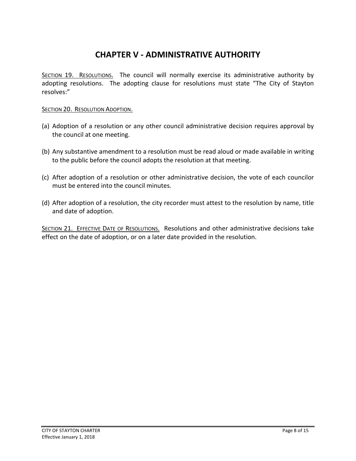# **CHAPTER V - ADMINISTRATIVE AUTHORITY**

<span id="page-7-0"></span>SECTION 19. RESOLUTIONS. The council will normally exercise its administrative authority by adopting resolutions. The adopting clause for resolutions must state "The City of Stayton resolves:"

#### SECTION 20. RESOLUTION ADOPTION.

- (a) Adoption of a resolution or any other council administrative decision requires approval by the council at one meeting.
- (b) Any substantive amendment to a resolution must be read aloud or made available in writing to the public before the council adopts the resolution at that meeting.
- (c) After adoption of a resolution or other administrative decision, the vote of each councilor must be entered into the council minutes.
- (d) After adoption of a resolution, the city recorder must attest to the resolution by name, title and date of adoption.

SECTION 21. EFFECTIVE DATE OF RESOLUTIONS. Resolutions and other administrative decisions take effect on the date of adoption, or on a later date provided in the resolution.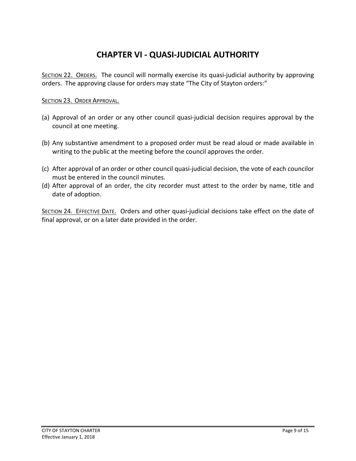# **CHAPTER VI - QUASI-JUDICIAL AUTHORITY**

<span id="page-8-0"></span>SECTION 22. ORDERS. The council will normally exercise its quasi-judicial authority by approving orders. The approving clause for orders may state "The City of Stayton orders:"

#### SECTION 23. ORDER APPROVAL.

- (a) Approval of an order or any other council quasi-judicial decision requires approval by the council at one meeting.
- (b) Any substantive amendment to a proposed order must be read aloud or made available in writing to the public at the meeting before the council approves the order.
- (c) After approval of an order or other council quasi-judicial decision, the vote of each councilor must be entered in the council minutes.
- (d) After approval of an order, the city recorder must attest to the order by name, title and date of adoption.

SECTION 24. EFFECTIVE DATE. Orders and other quasi-judicial decisions take effect on the date of final approval, or on a later date provided in the order.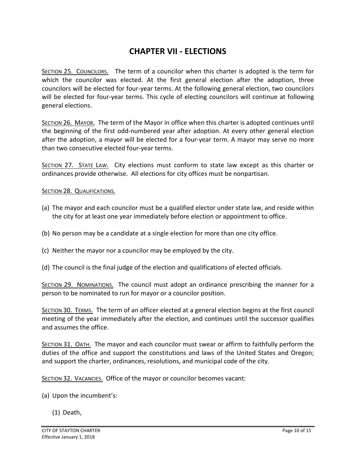#### **CHAPTER VII - ELECTIONS**

<span id="page-9-0"></span>SECTION 25. COUNCILORS. The term of a councilor when this charter is adopted is the term for which the councilor was elected. At the first general election after the adoption, three councilors will be elected for four-year terms. At the following general election, two councilors will be elected for four-year terms. This cycle of electing councilors will continue at following general elections.

SECTION 26. MAYOR. The term of the Mayor in office when this charter is adopted continues until the beginning of the first odd-numbered year after adoption. At every other general election after the adoption, a mayor will be elected for a four-year term. A mayor may serve no more than two consecutive elected four-year terms.

SECTION 27. STATE LAW. City elections must conform to state law except as this charter or ordinances provide otherwise. All elections for city offices must be nonpartisan.

#### SECTION 28. QUALIFICATIONS.

- (a) The mayor and each councilor must be a qualified elector under state law, and reside within the city for at least one year immediately before election or appointment to office.
- (b) No person may be a candidate at a single election for more than one city office.
- (c) Neither the mayor nor a councilor may be employed by the city.
- (d) The council is the final judge of the election and qualifications of elected officials.

SECTION 29. NOMINATIONS. The council must adopt an ordinance prescribing the manner for a person to be nominated to run for mayor or a councilor position.

SECTION 30. TERMS. The term of an officer elected at a general election begins at the first council meeting of the year immediately after the election, and continues until the successor qualifies and assumes the office.

SECTION 31. OATH. The mayor and each councilor must swear or affirm to faithfully perform the duties of the office and support the constitutions and laws of the United States and Oregon; and support the charter, ordinances, resolutions, and municipal code of the city.

SECTION 32. VACANCIES. Office of the mayor or councilor becomes vacant:

- (a) Upon the incumbent's:
	- (1) Death,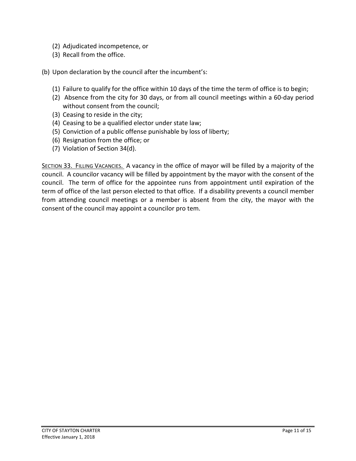- (2) Adjudicated incompetence, or
- (3) Recall from the office.

(b) Upon declaration by the council after the incumbent's:

- (1) Failure to qualify for the office within 10 days of the time the term of office is to begin;
- (2) Absence from the city for 30 days, or from all council meetings within a 60-day period without consent from the council;
- (3) Ceasing to reside in the city;
- (4) Ceasing to be a qualified elector under state law;
- (5) Conviction of a public offense punishable by loss of liberty;
- (6) Resignation from the office; or
- (7) Violation of Section 34(d).

SECTION 33. FILLING VACANCIES. A vacancy in the office of mayor will be filled by a majority of the council. A councilor vacancy will be filled by appointment by the mayor with the consent of the council. The term of office for the appointee runs from appointment until expiration of the term of office of the last person elected to that office. If a disability prevents a council member from attending council meetings or a member is absent from the city, the mayor with the consent of the council may appoint a councilor pro tem.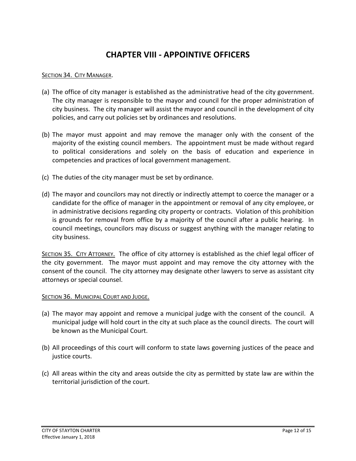## **CHAPTER VIII - APPOINTIVE OFFICERS**

#### <span id="page-11-0"></span>SECTION 34. CITY MANAGER.

- (a) The office of city manager is established as the administrative head of the city government. The city manager is responsible to the mayor and council for the proper administration of city business. The city manager will assist the mayor and council in the development of city policies, and carry out policies set by ordinances and resolutions.
- (b) The mayor must appoint and may remove the manager only with the consent of the majority of the existing council members. The appointment must be made without regard to political considerations and solely on the basis of education and experience in competencies and practices of local government management.
- (c) The duties of the city manager must be set by ordinance.
- (d) The mayor and councilors may not directly or indirectly attempt to coerce the manager or a candidate for the office of manager in the appointment or removal of any city employee, or in administrative decisions regarding city property or contracts. Violation of this prohibition is grounds for removal from office by a majority of the council after a public hearing. In council meetings, councilors may discuss or suggest anything with the manager relating to city business.

SECTION 35. CITY ATTORNEY. The office of city attorney is established as the chief legal officer of the city government. The mayor must appoint and may remove the city attorney with the consent of the council. The city attorney may designate other lawyers to serve as assistant city attorneys or special counsel.

#### SECTION 36. MUNICIPAL COURT AND JUDGE.

- (a) The mayor may appoint and remove a municipal judge with the consent of the council. A municipal judge will hold court in the city at such place as the council directs. The court will be known as the Municipal Court.
- (b) All proceedings of this court will conform to state laws governing justices of the peace and justice courts.
- (c) All areas within the city and areas outside the city as permitted by state law are within the territorial jurisdiction of the court.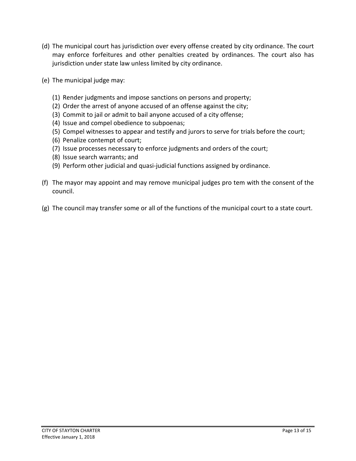- (d) The municipal court has jurisdiction over every offense created by city ordinance. The court may enforce forfeitures and other penalties created by ordinances. The court also has jurisdiction under state law unless limited by city ordinance.
- (e) The municipal judge may:
	- (1) Render judgments and impose sanctions on persons and property;
	- (2) Order the arrest of anyone accused of an offense against the city;
	- (3) Commit to jail or admit to bail anyone accused of a city offense;
	- (4) Issue and compel obedience to subpoenas;
	- (5) Compel witnesses to appear and testify and jurors to serve for trials before the court;
	- (6) Penalize contempt of court;
	- (7) Issue processes necessary to enforce judgments and orders of the court;
	- (8) Issue search warrants; and
	- (9) Perform other judicial and quasi-judicial functions assigned by ordinance.
- (f) The mayor may appoint and may remove municipal judges pro tem with the consent of the council.
- (g) The council may transfer some or all of the functions of the municipal court to a state court.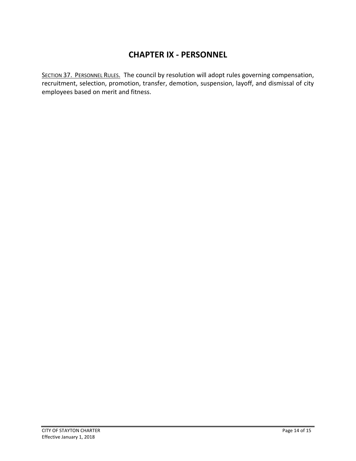## **CHAPTER IX - PERSONNEL**

<span id="page-13-0"></span>SECTION 37. PERSONNEL RULES. The council by resolution will adopt rules governing compensation, recruitment, selection, promotion, transfer, demotion, suspension, layoff, and dismissal of city employees based on merit and fitness.